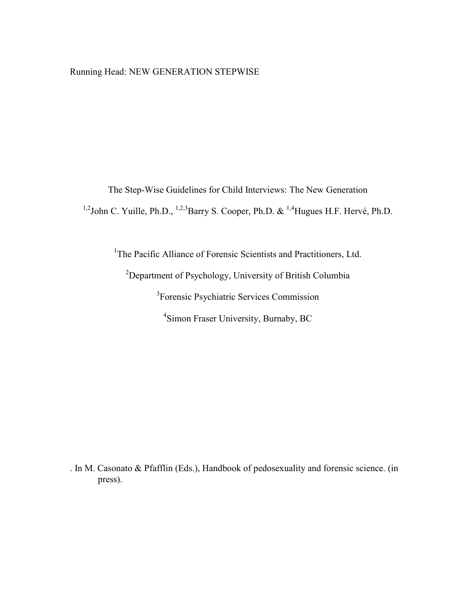# Running Head: NEW GENERATION STEPWISE

The Step-Wise Guidelines for Child Interviews: The New Generation <sup>1,2</sup>John C. Yuille, Ph.D., <sup>1,2,3</sup>Barry S. Cooper, Ph.D. & <sup>1,4</sup>Hugues H.F. Hervé, Ph.D.

<sup>1</sup>The Pacific Alliance of Forensic Scientists and Practitioners, Ltd.

<sup>2</sup>Department of Psychology, University of British Columbia 3 Forensic Psychiatric Services Commission

4 Simon Fraser University, Burnaby, BC

. In M. Casonato & Pfafflin (Eds.), Handbook of pedosexuality and forensic science. (in press).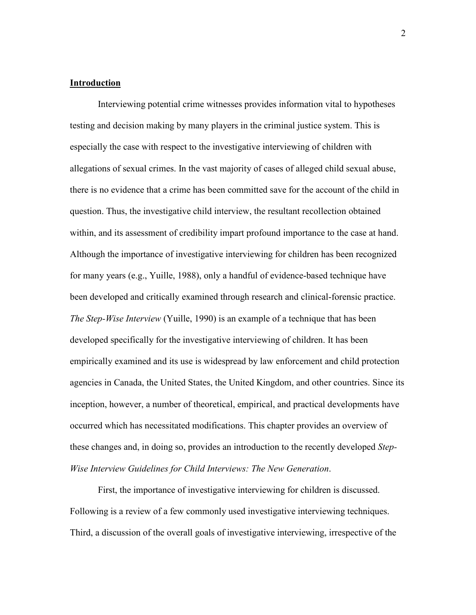## **Introduction**

Interviewing potential crime witnesses provides information vital to hypotheses testing and decision making by many players in the criminal justice system. This is especially the case with respect to the investigative interviewing of children with allegations of sexual crimes. In the vast majority of cases of alleged child sexual abuse, there is no evidence that a crime has been committed save for the account of the child in question. Thus, the investigative child interview, the resultant recollection obtained within, and its assessment of credibility impart profound importance to the case at hand. Although the importance of investigative interviewing for children has been recognized for many years (e.g., Yuille, 1988), only a handful of evidence-based technique have been developed and critically examined through research and clinical-forensic practice. *The Step-Wise Interview* (Yuille, 1990) is an example of a technique that has been developed specifically for the investigative interviewing of children. It has been empirically examined and its use is widespread by law enforcement and child protection agencies in Canada, the United States, the United Kingdom, and other countries. Since its inception, however, a number of theoretical, empirical, and practical developments have occurred which has necessitated modifications. This chapter provides an overview of these changes and, in doing so, provides an introduction to the recently developed *Step-Wise Interview Guidelines for Child Interviews: The New Generation*.

First, the importance of investigative interviewing for children is discussed. Following is a review of a few commonly used investigative interviewing techniques. Third, a discussion of the overall goals of investigative interviewing, irrespective of the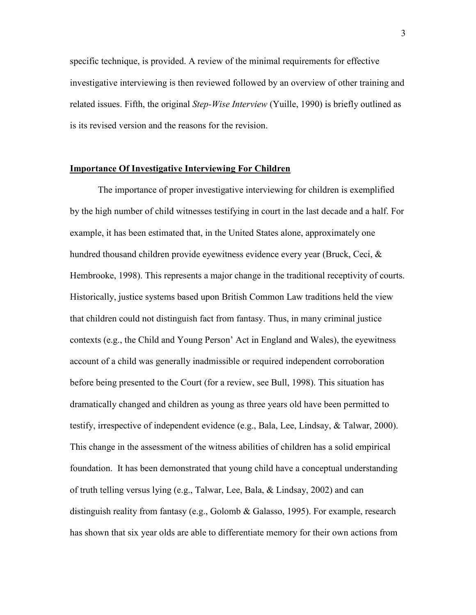specific technique, is provided. A review of the minimal requirements for effective investigative interviewing is then reviewed followed by an overview of other training and related issues. Fifth, the original *Step-Wise Interview* (Yuille, 1990) is briefly outlined as is its revised version and the reasons for the revision.

### **Importance Of Investigative Interviewing For Children**

The importance of proper investigative interviewing for children is exemplified by the high number of child witnesses testifying in court in the last decade and a half. For example, it has been estimated that, in the United States alone, approximately one hundred thousand children provide eyewitness evidence every year (Bruck, Ceci, & Hembrooke, 1998). This represents a major change in the traditional receptivity of courts. Historically, justice systems based upon British Common Law traditions held the view that children could not distinguish fact from fantasy. Thus, in many criminal justice contexts (e.g., the Child and Young Person' Act in England and Wales), the eyewitness account of a child was generally inadmissible or required independent corroboration before being presented to the Court (for a review, see Bull, 1998). This situation has dramatically changed and children as young as three years old have been permitted to testify, irrespective of independent evidence (e.g., Bala, Lee, Lindsay, & Talwar, 2000). This change in the assessment of the witness abilities of children has a solid empirical foundation. It has been demonstrated that young child have a conceptual understanding of truth telling versus lying (e.g., Talwar, Lee, Bala, & Lindsay, 2002) and can distinguish reality from fantasy (e.g., Golomb & Galasso, 1995). For example, research has shown that six year olds are able to differentiate memory for their own actions from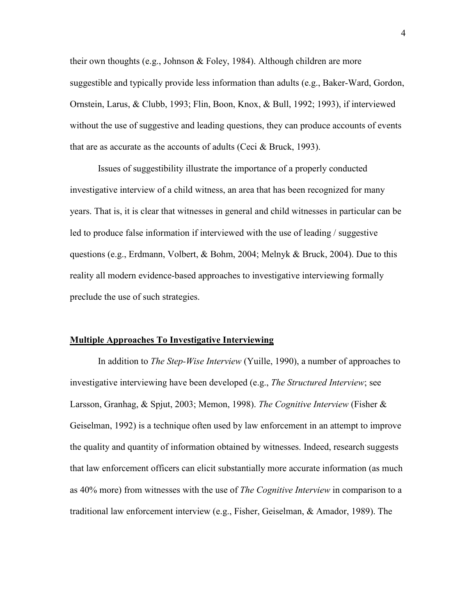their own thoughts (e.g., Johnson & Foley, 1984). Although children are more suggestible and typically provide less information than adults (e.g., Baker-Ward, Gordon, Ornstein, Larus, & Clubb, 1993; Flin, Boon, Knox, & Bull, 1992; 1993), if interviewed without the use of suggestive and leading questions, they can produce accounts of events that are as accurate as the accounts of adults (Ceci  $&$  Bruck, 1993).

Issues of suggestibility illustrate the importance of a properly conducted investigative interview of a child witness, an area that has been recognized for many years. That is, it is clear that witnesses in general and child witnesses in particular can be led to produce false information if interviewed with the use of leading / suggestive questions (e.g., Erdmann, Volbert, & Bohm, 2004; Melnyk & Bruck, 2004). Due to this reality all modern evidence-based approaches to investigative interviewing formally preclude the use of such strategies.

#### **Multiple Approaches To Investigative Interviewing**

In addition to *The Step-Wise Interview* (Yuille, 1990), a number of approaches to investigative interviewing have been developed (e.g., *The Structured Interview*; see Larsson, Granhag, & Spjut, 2003; Memon, 1998). *The Cognitive Interview* (Fisher & Geiselman, 1992) is a technique often used by law enforcement in an attempt to improve the quality and quantity of information obtained by witnesses. Indeed, research suggests that law enforcement officers can elicit substantially more accurate information (as much as 40% more) from witnesses with the use of *The Cognitive Interview* in comparison to a traditional law enforcement interview (e.g., Fisher, Geiselman, & Amador, 1989). The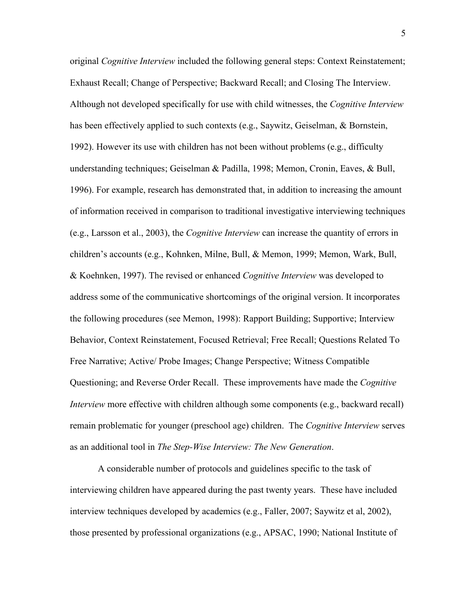original *Cognitive Interview* included the following general steps: Context Reinstatement; Exhaust Recall; Change of Perspective; Backward Recall; and Closing The Interview. Although not developed specifically for use with child witnesses, the *Cognitive Interview* has been effectively applied to such contexts (e.g., Saywitz, Geiselman, & Bornstein, 1992). However its use with children has not been without problems (e.g., difficulty understanding techniques; Geiselman & Padilla, 1998; Memon, Cronin, Eaves, & Bull, 1996). For example, research has demonstrated that, in addition to increasing the amount of information received in comparison to traditional investigative interviewing techniques (e.g., Larsson et al., 2003), the *Cognitive Interview* can increase the quantity of errors in children's accounts (e.g., Kohnken, Milne, Bull, & Memon, 1999; Memon, Wark, Bull, & Koehnken, 1997). The revised or enhanced *Cognitive Interview* was developed to address some of the communicative shortcomings of the original version. It incorporates the following procedures (see Memon, 1998): Rapport Building; Supportive; Interview Behavior, Context Reinstatement, Focused Retrieval; Free Recall; Questions Related To Free Narrative; Active/ Probe Images; Change Perspective; Witness Compatible Questioning; and Reverse Order Recall. These improvements have made the *Cognitive Interview* more effective with children although some components (e.g., backward recall) remain problematic for younger (preschool age) children. The *Cognitive Interview* serves as an additional tool in *The Step-Wise Interview: The New Generation*.

A considerable number of protocols and guidelines specific to the task of interviewing children have appeared during the past twenty years. These have included interview techniques developed by academics (e.g., Faller, 2007; Saywitz et al, 2002), those presented by professional organizations (e.g., APSAC, 1990; National Institute of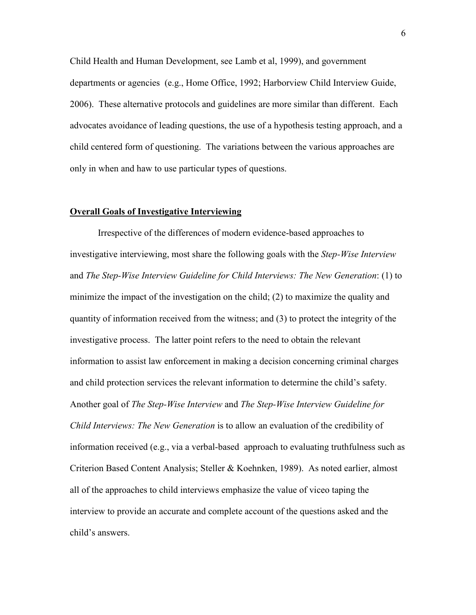Child Health and Human Development, see Lamb et al, 1999), and government departments or agencies (e.g., Home Office, 1992; Harborview Child Interview Guide, 2006). These alternative protocols and guidelines are more similar than different. Each advocates avoidance of leading questions, the use of a hypothesis testing approach, and a child centered form of questioning. The variations between the various approaches are only in when and haw to use particular types of questions.

## **Overall Goals of Investigative Interviewing**

Irrespective of the differences of modern evidence-based approaches to investigative interviewing, most share the following goals with the *Step-Wise Interview* and *The Step-Wise Interview Guideline for Child Interviews: The New Generation*: (1) to minimize the impact of the investigation on the child; (2) to maximize the quality and quantity of information received from the witness; and (3) to protect the integrity of the investigative process. The latter point refers to the need to obtain the relevant information to assist law enforcement in making a decision concerning criminal charges and child protection services the relevant information to determine the child's safety. Another goal of *The Step-Wise Interview* and *The Step-Wise Interview Guideline for Child Interviews: The New Generation* is to allow an evaluation of the credibility of information received (e.g., via a verbal-based approach to evaluating truthfulness such as Criterion Based Content Analysis; Steller & Koehnken, 1989). As noted earlier, almost all of the approaches to child interviews emphasize the value of viceo taping the interview to provide an accurate and complete account of the questions asked and the child's answers.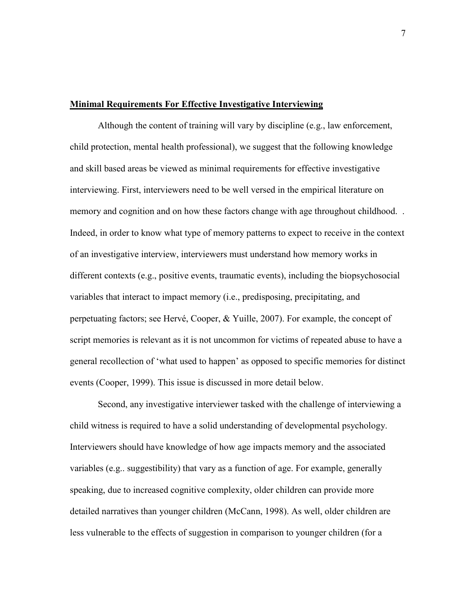### **Minimal Requirements For Effective Investigative Interviewing**

Although the content of training will vary by discipline (e.g., law enforcement, child protection, mental health professional), we suggest that the following knowledge and skill based areas be viewed as minimal requirements for effective investigative interviewing. First, interviewers need to be well versed in the empirical literature on memory and cognition and on how these factors change with age throughout childhood. . Indeed, in order to know what type of memory patterns to expect to receive in the context of an investigative interview, interviewers must understand how memory works in different contexts (e.g., positive events, traumatic events), including the biopsychosocial variables that interact to impact memory (i.e., predisposing, precipitating, and perpetuating factors; see Hervé, Cooper, & Yuille, 2007). For example, the concept of script memories is relevant as it is not uncommon for victims of repeated abuse to have a general recollection of 'what used to happen' as opposed to specific memories for distinct events (Cooper, 1999). This issue is discussed in more detail below.

Second, any investigative interviewer tasked with the challenge of interviewing a child witness is required to have a solid understanding of developmental psychology. Interviewers should have knowledge of how age impacts memory and the associated variables (e.g.. suggestibility) that vary as a function of age. For example, generally speaking, due to increased cognitive complexity, older children can provide more detailed narratives than younger children (McCann, 1998). As well, older children are less vulnerable to the effects of suggestion in comparison to younger children (for a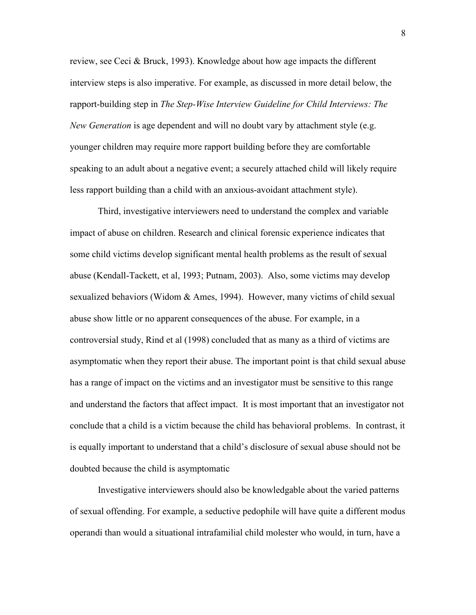review, see Ceci & Bruck, 1993). Knowledge about how age impacts the different interview steps is also imperative. For example, as discussed in more detail below, the rapport-building step in *The Step-Wise Interview Guideline for Child Interviews: The New Generation* is age dependent and will no doubt vary by attachment style (e.g. younger children may require more rapport building before they are comfortable speaking to an adult about a negative event; a securely attached child will likely require less rapport building than a child with an anxious-avoidant attachment style).

Third, investigative interviewers need to understand the complex and variable impact of abuse on children. Research and clinical forensic experience indicates that some child victims develop significant mental health problems as the result of sexual abuse (Kendall-Tackett, et al, 1993; Putnam, 2003). Also, some victims may develop sexualized behaviors (Widom  $\&$  Ames, 1994). However, many victims of child sexual abuse show little or no apparent consequences of the abuse. For example, in a controversial study, Rind et al (1998) concluded that as many as a third of victims are asymptomatic when they report their abuse. The important point is that child sexual abuse has a range of impact on the victims and an investigator must be sensitive to this range and understand the factors that affect impact. It is most important that an investigator not conclude that a child is a victim because the child has behavioral problems. In contrast, it is equally important to understand that a child's disclosure of sexual abuse should not be doubted because the child is asymptomatic

Investigative interviewers should also be knowledgable about the varied patterns of sexual offending. For example, a seductive pedophile will have quite a different modus operandi than would a situational intrafamilial child molester who would, in turn, have a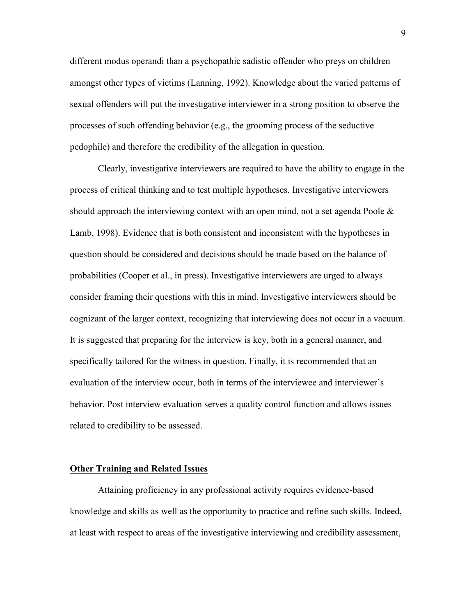different modus operandi than a psychopathic sadistic offender who preys on children amongst other types of victims (Lanning, 1992). Knowledge about the varied patterns of sexual offenders will put the investigative interviewer in a strong position to observe the processes of such offending behavior (e.g., the grooming process of the seductive pedophile) and therefore the credibility of the allegation in question.

Clearly, investigative interviewers are required to have the ability to engage in the process of critical thinking and to test multiple hypotheses. Investigative interviewers should approach the interviewing context with an open mind, not a set agenda Poole  $\&$ Lamb, 1998). Evidence that is both consistent and inconsistent with the hypotheses in question should be considered and decisions should be made based on the balance of probabilities (Cooper et al., in press). Investigative interviewers are urged to always consider framing their questions with this in mind. Investigative interviewers should be cognizant of the larger context, recognizing that interviewing does not occur in a vacuum. It is suggested that preparing for the interview is key, both in a general manner, and specifically tailored for the witness in question. Finally, it is recommended that an evaluation of the interview occur, both in terms of the interviewee and interviewer's behavior. Post interview evaluation serves a quality control function and allows issues related to credibility to be assessed.

### **Other Training and Related Issues**

Attaining proficiency in any professional activity requires evidence-based knowledge and skills as well as the opportunity to practice and refine such skills. Indeed, at least with respect to areas of the investigative interviewing and credibility assessment,

9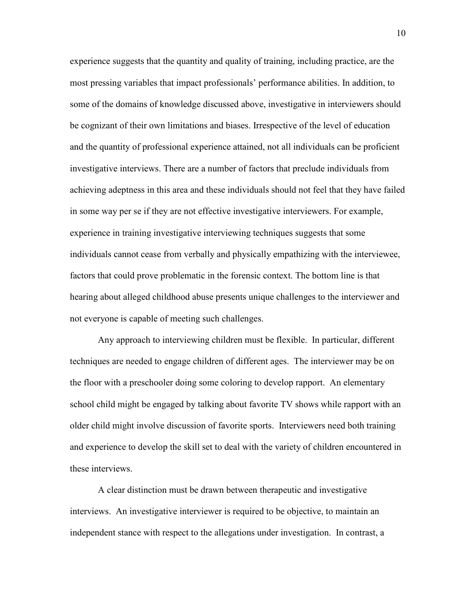experience suggests that the quantity and quality of training, including practice, are the most pressing variables that impact professionals' performance abilities. In addition, to some of the domains of knowledge discussed above, investigative in interviewers should be cognizant of their own limitations and biases. Irrespective of the level of education and the quantity of professional experience attained, not all individuals can be proficient investigative interviews. There are a number of factors that preclude individuals from achieving adeptness in this area and these individuals should not feel that they have failed in some way per se if they are not effective investigative interviewers. For example, experience in training investigative interviewing techniques suggests that some individuals cannot cease from verbally and physically empathizing with the interviewee, factors that could prove problematic in the forensic context. The bottom line is that hearing about alleged childhood abuse presents unique challenges to the interviewer and not everyone is capable of meeting such challenges.

Any approach to interviewing children must be flexible. In particular, different techniques are needed to engage children of different ages. The interviewer may be on the floor with a preschooler doing some coloring to develop rapport. An elementary school child might be engaged by talking about favorite TV shows while rapport with an older child might involve discussion of favorite sports. Interviewers need both training and experience to develop the skill set to deal with the variety of children encountered in these interviews.

A clear distinction must be drawn between therapeutic and investigative interviews. An investigative interviewer is required to be objective, to maintain an independent stance with respect to the allegations under investigation. In contrast, a 10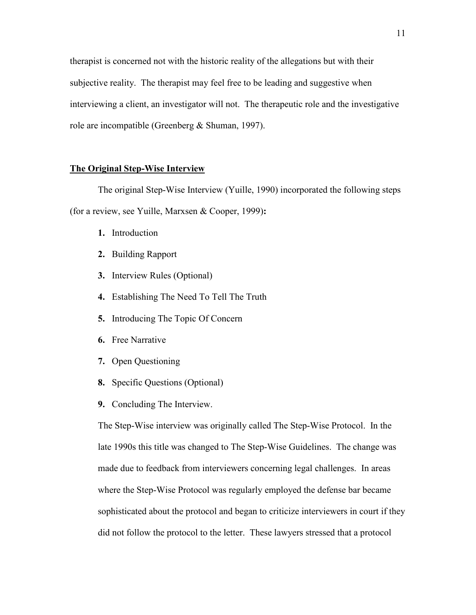therapist is concerned not with the historic reality of the allegations but with their subjective reality. The therapist may feel free to be leading and suggestive when interviewing a client, an investigator will not. The therapeutic role and the investigative role are incompatible (Greenberg & Shuman, 1997).

## **The Original Step-Wise Interview**

The original Step-Wise Interview (Yuille, 1990) incorporated the following steps (for a review, see Yuille, Marxsen & Cooper, 1999)**:** 

- **1.** Introduction
- **2.** Building Rapport
- **3.** Interview Rules (Optional)
- **4.** Establishing The Need To Tell The Truth
- **5.** Introducing The Topic Of Concern
- **6.** Free Narrative
- **7.** Open Questioning
- **8.** Specific Questions (Optional)
- **9.** Concluding The Interview.

The Step-Wise interview was originally called The Step-Wise Protocol. In the late 1990s this title was changed to The Step-Wise Guidelines. The change was made due to feedback from interviewers concerning legal challenges. In areas where the Step-Wise Protocol was regularly employed the defense bar became sophisticated about the protocol and began to criticize interviewers in court if they did not follow the protocol to the letter. These lawyers stressed that a protocol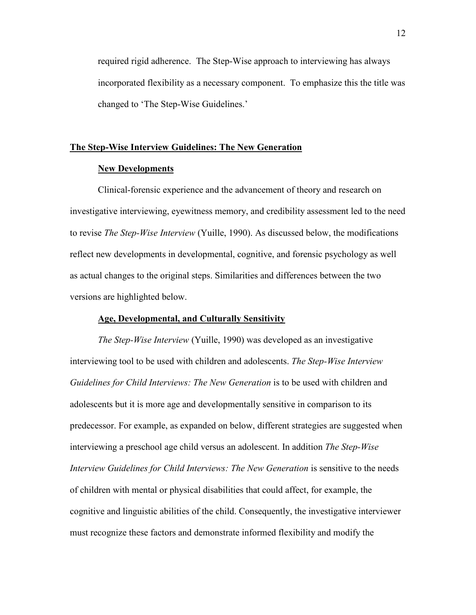required rigid adherence. The Step-Wise approach to interviewing has always incorporated flexibility as a necessary component. To emphasize this the title was changed to 'The Step-Wise Guidelines.'

### **The Step-Wise Interview Guidelines: The New Generation**

## **New Developments**

Clinical-forensic experience and the advancement of theory and research on investigative interviewing, eyewitness memory, and credibility assessment led to the need to revise *The Step-Wise Interview* (Yuille, 1990). As discussed below, the modifications reflect new developments in developmental, cognitive, and forensic psychology as well as actual changes to the original steps. Similarities and differences between the two versions are highlighted below.

### **Age, Developmental, and Culturally Sensitivity**

*The Step-Wise Interview* (Yuille, 1990) was developed as an investigative interviewing tool to be used with children and adolescents. *The Step-Wise Interview Guidelines for Child Interviews: The New Generation* is to be used with children and adolescents but it is more age and developmentally sensitive in comparison to its predecessor. For example, as expanded on below, different strategies are suggested when interviewing a preschool age child versus an adolescent. In addition *The Step-Wise Interview Guidelines for Child Interviews: The New Generation* is sensitive to the needs of children with mental or physical disabilities that could affect, for example, the cognitive and linguistic abilities of the child. Consequently, the investigative interviewer must recognize these factors and demonstrate informed flexibility and modify the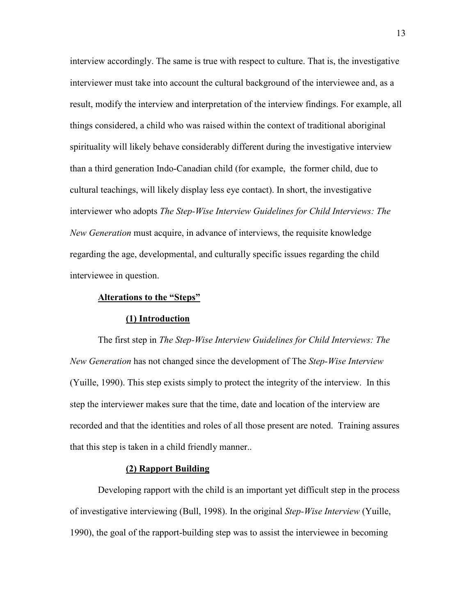interview accordingly. The same is true with respect to culture. That is, the investigative interviewer must take into account the cultural background of the interviewee and, as a result, modify the interview and interpretation of the interview findings. For example, all things considered, a child who was raised within the context of traditional aboriginal spirituality will likely behave considerably different during the investigative interview than a third generation Indo-Canadian child (for example, the former child, due to cultural teachings, will likely display less eye contact). In short, the investigative interviewer who adopts *The Step-Wise Interview Guidelines for Child Interviews: The New Generation* must acquire, in advance of interviews, the requisite knowledge regarding the age, developmental, and culturally specific issues regarding the child interviewee in question.

### **Alterations to the "Steps"**

### **(1) Introduction**

The first step in *The Step-Wise Interview Guidelines for Child Interviews: The New Generation* has not changed since the development of The *Step-Wise Interview* (Yuille, 1990). This step exists simply to protect the integrity of the interview. In this step the interviewer makes sure that the time, date and location of the interview are recorded and that the identities and roles of all those present are noted. Training assures that this step is taken in a child friendly manner..

### **(2) Rapport Building**

Developing rapport with the child is an important yet difficult step in the process of investigative interviewing (Bull, 1998). In the original *Step-Wise Interview* (Yuille, 1990), the goal of the rapport-building step was to assist the interviewee in becoming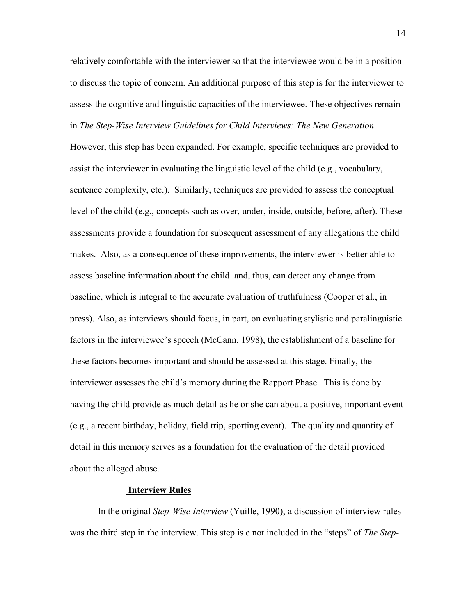relatively comfortable with the interviewer so that the interviewee would be in a position to discuss the topic of concern. An additional purpose of this step is for the interviewer to assess the cognitive and linguistic capacities of the interviewee. These objectives remain in *The Step-Wise Interview Guidelines for Child Interviews: The New Generation*.

However, this step has been expanded. For example, specific techniques are provided to assist the interviewer in evaluating the linguistic level of the child (e.g., vocabulary, sentence complexity, etc.). Similarly, techniques are provided to assess the conceptual level of the child (e.g., concepts such as over, under, inside, outside, before, after). These assessments provide a foundation for subsequent assessment of any allegations the child makes. Also, as a consequence of these improvements, the interviewer is better able to assess baseline information about the child and, thus, can detect any change from baseline, which is integral to the accurate evaluation of truthfulness (Cooper et al., in press). Also, as interviews should focus, in part, on evaluating stylistic and paralinguistic factors in the interviewee's speech (McCann, 1998), the establishment of a baseline for these factors becomes important and should be assessed at this stage. Finally, the interviewer assesses the child's memory during the Rapport Phase. This is done by having the child provide as much detail as he or she can about a positive, important event (e.g., a recent birthday, holiday, field trip, sporting event). The quality and quantity of detail in this memory serves as a foundation for the evaluation of the detail provided about the alleged abuse.

### **Interview Rules**

In the original *Step-Wise Interview* (Yuille, 1990), a discussion of interview rules was the third step in the interview. This step is e not included in the "steps" of *The Step-*

14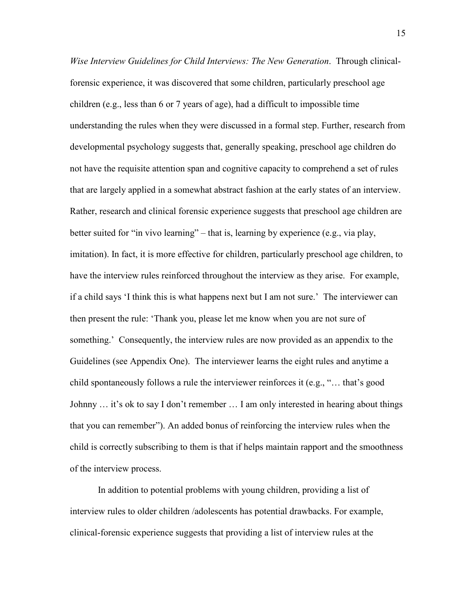*Wise Interview Guidelines for Child Interviews: The New Generation*. Through clinicalforensic experience, it was discovered that some children, particularly preschool age children (e.g., less than 6 or 7 years of age), had a difficult to impossible time understanding the rules when they were discussed in a formal step. Further, research from developmental psychology suggests that, generally speaking, preschool age children do not have the requisite attention span and cognitive capacity to comprehend a set of rules that are largely applied in a somewhat abstract fashion at the early states of an interview. Rather, research and clinical forensic experience suggests that preschool age children are better suited for "in vivo learning" – that is, learning by experience (e.g., via play, imitation). In fact, it is more effective for children, particularly preschool age children, to have the interview rules reinforced throughout the interview as they arise. For example, if a child says 'I think this is what happens next but I am not sure.' The interviewer can then present the rule: 'Thank you, please let me know when you are not sure of something.' Consequently, the interview rules are now provided as an appendix to the Guidelines (see Appendix One). The interviewer learns the eight rules and anytime a child spontaneously follows a rule the interviewer reinforces it (e.g., "… that's good Johnny … it's ok to say I don't remember … I am only interested in hearing about things that you can remember"). An added bonus of reinforcing the interview rules when the child is correctly subscribing to them is that if helps maintain rapport and the smoothness of the interview process.

In addition to potential problems with young children, providing a list of interview rules to older children /adolescents has potential drawbacks. For example, clinical-forensic experience suggests that providing a list of interview rules at the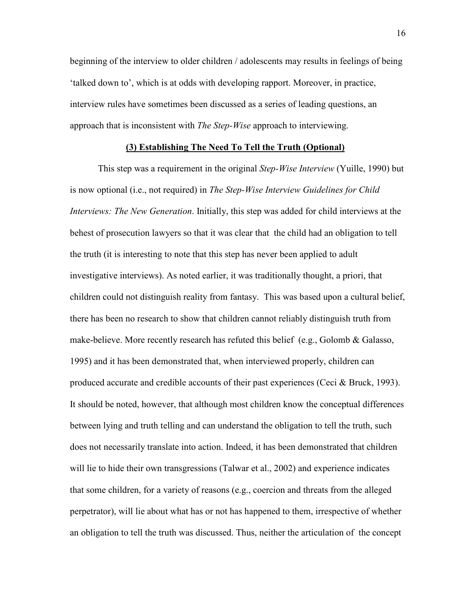beginning of the interview to older children / adolescents may results in feelings of being 'talked down to', which is at odds with developing rapport. Moreover, in practice, interview rules have sometimes been discussed as a series of leading questions, an approach that is inconsistent with *The Step-Wise* approach to interviewing.

## **(3) Establishing The Need To Tell the Truth (Optional)**

This step was a requirement in the original *Step-Wise Interview* (Yuille, 1990) but is now optional (i.e., not required) in *The Step-Wise Interview Guidelines for Child Interviews: The New Generation*. Initially, this step was added for child interviews at the behest of prosecution lawyers so that it was clear that the child had an obligation to tell the truth (it is interesting to note that this step has never been applied to adult investigative interviews). As noted earlier, it was traditionally thought, a priori, that children could not distinguish reality from fantasy. This was based upon a cultural belief, there has been no research to show that children cannot reliably distinguish truth from make-believe. More recently research has refuted this belief (e.g., Golomb & Galasso, 1995) and it has been demonstrated that, when interviewed properly, children can produced accurate and credible accounts of their past experiences (Ceci & Bruck, 1993). It should be noted, however, that although most children know the conceptual differences between lying and truth telling and can understand the obligation to tell the truth, such does not necessarily translate into action. Indeed, it has been demonstrated that children will lie to hide their own transgressions (Talwar et al., 2002) and experience indicates that some children, for a variety of reasons (e.g., coercion and threats from the alleged perpetrator), will lie about what has or not has happened to them, irrespective of whether an obligation to tell the truth was discussed. Thus, neither the articulation of the concept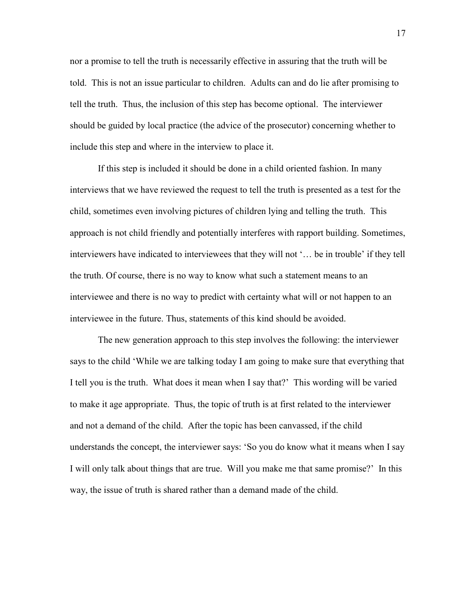nor a promise to tell the truth is necessarily effective in assuring that the truth will be told. This is not an issue particular to children. Adults can and do lie after promising to tell the truth. Thus, the inclusion of this step has become optional. The interviewer should be guided by local practice (the advice of the prosecutor) concerning whether to include this step and where in the interview to place it.

If this step is included it should be done in a child oriented fashion. In many interviews that we have reviewed the request to tell the truth is presented as a test for the child, sometimes even involving pictures of children lying and telling the truth. This approach is not child friendly and potentially interferes with rapport building. Sometimes, interviewers have indicated to interviewees that they will not '… be in trouble' if they tell the truth. Of course, there is no way to know what such a statement means to an interviewee and there is no way to predict with certainty what will or not happen to an interviewee in the future. Thus, statements of this kind should be avoided.

The new generation approach to this step involves the following: the interviewer says to the child 'While we are talking today I am going to make sure that everything that I tell you is the truth. What does it mean when I say that?' This wording will be varied to make it age appropriate. Thus, the topic of truth is at first related to the interviewer and not a demand of the child. After the topic has been canvassed, if the child understands the concept, the interviewer says: 'So you do know what it means when I say I will only talk about things that are true. Will you make me that same promise?' In this way, the issue of truth is shared rather than a demand made of the child.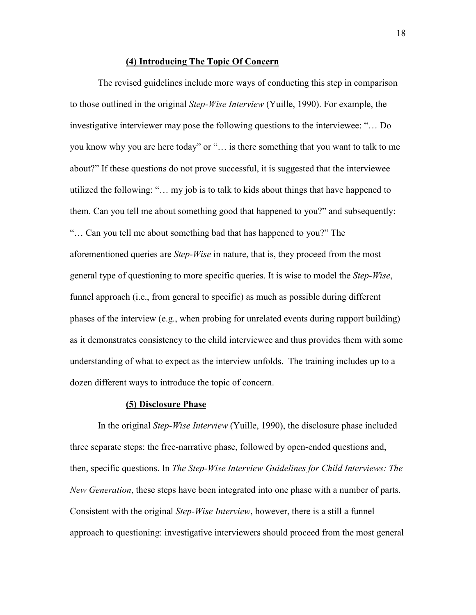### **(4) Introducing The Topic Of Concern**

The revised guidelines include more ways of conducting this step in comparison to those outlined in the original *Step-Wise Interview* (Yuille, 1990). For example, the investigative interviewer may pose the following questions to the interviewee: "… Do you know why you are here today" or "… is there something that you want to talk to me about?" If these questions do not prove successful, it is suggested that the interviewee utilized the following: "… my job is to talk to kids about things that have happened to them. Can you tell me about something good that happened to you?" and subsequently: "… Can you tell me about something bad that has happened to you?" The aforementioned queries are *Step-Wise* in nature, that is, they proceed from the most general type of questioning to more specific queries. It is wise to model the *Step-Wise*, funnel approach (i.e., from general to specific) as much as possible during different phases of the interview (e.g., when probing for unrelated events during rapport building) as it demonstrates consistency to the child interviewee and thus provides them with some understanding of what to expect as the interview unfolds. The training includes up to a dozen different ways to introduce the topic of concern.

### **(5) Disclosure Phase**

In the original *Step-Wise Interview* (Yuille, 1990), the disclosure phase included three separate steps: the free-narrative phase, followed by open-ended questions and, then, specific questions. In *The Step-Wise Interview Guidelines for Child Interviews: The New Generation*, these steps have been integrated into one phase with a number of parts. Consistent with the original *Step-Wise Interview*, however, there is a still a funnel approach to questioning: investigative interviewers should proceed from the most general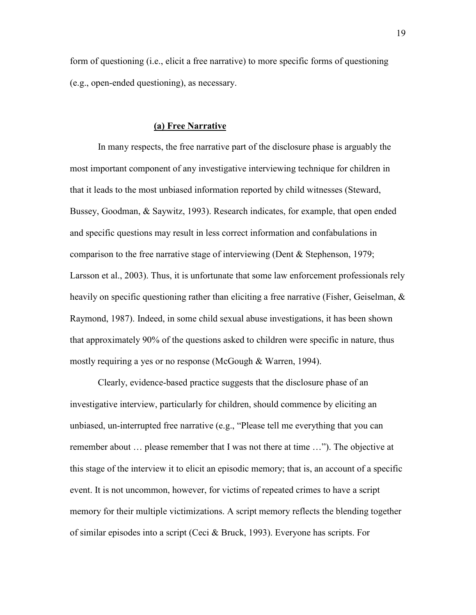form of questioning (i.e., elicit a free narrative) to more specific forms of questioning (e.g., open-ended questioning), as necessary.

### **(a) Free Narrative**

In many respects, the free narrative part of the disclosure phase is arguably the most important component of any investigative interviewing technique for children in that it leads to the most unbiased information reported by child witnesses (Steward, Bussey, Goodman, & Saywitz, 1993). Research indicates, for example, that open ended and specific questions may result in less correct information and confabulations in comparison to the free narrative stage of interviewing (Dent & Stephenson, 1979; Larsson et al., 2003). Thus, it is unfortunate that some law enforcement professionals rely heavily on specific questioning rather than eliciting a free narrative (Fisher, Geiselman, & Raymond, 1987). Indeed, in some child sexual abuse investigations, it has been shown that approximately 90% of the questions asked to children were specific in nature, thus mostly requiring a yes or no response (McGough & Warren, 1994).

Clearly, evidence-based practice suggests that the disclosure phase of an investigative interview, particularly for children, should commence by eliciting an unbiased, un-interrupted free narrative (e.g., "Please tell me everything that you can remember about … please remember that I was not there at time …"). The objective at this stage of the interview it to elicit an episodic memory; that is, an account of a specific event. It is not uncommon, however, for victims of repeated crimes to have a script memory for their multiple victimizations. A script memory reflects the blending together of similar episodes into a script (Ceci & Bruck, 1993). Everyone has scripts. For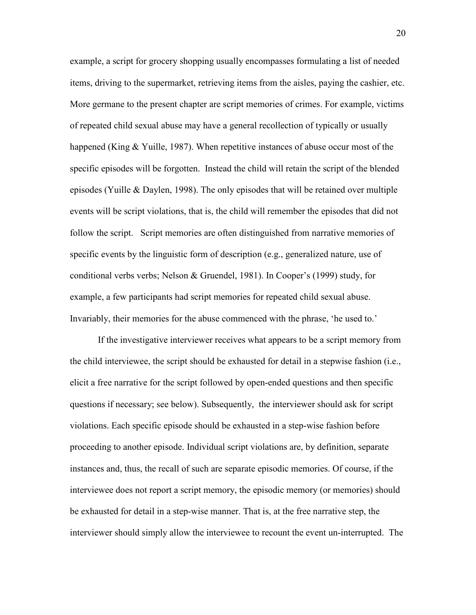example, a script for grocery shopping usually encompasses formulating a list of needed items, driving to the supermarket, retrieving items from the aisles, paying the cashier, etc. More germane to the present chapter are script memories of crimes. For example, victims of repeated child sexual abuse may have a general recollection of typically or usually happened (King & Yuille, 1987). When repetitive instances of abuse occur most of the specific episodes will be forgotten. Instead the child will retain the script of the blended episodes (Yuille & Daylen, 1998). The only episodes that will be retained over multiple events will be script violations, that is, the child will remember the episodes that did not follow the script. Script memories are often distinguished from narrative memories of specific events by the linguistic form of description (e.g., generalized nature, use of conditional verbs verbs; Nelson & Gruendel, 1981). In Cooper's (1999) study, for example, a few participants had script memories for repeated child sexual abuse. Invariably, their memories for the abuse commenced with the phrase, 'he used to.'

If the investigative interviewer receives what appears to be a script memory from the child interviewee, the script should be exhausted for detail in a stepwise fashion (i.e., elicit a free narrative for the script followed by open-ended questions and then specific questions if necessary; see below). Subsequently, the interviewer should ask for script violations. Each specific episode should be exhausted in a step-wise fashion before proceeding to another episode. Individual script violations are, by definition, separate instances and, thus, the recall of such are separate episodic memories. Of course, if the interviewee does not report a script memory, the episodic memory (or memories) should be exhausted for detail in a step-wise manner. That is, at the free narrative step, the interviewer should simply allow the interviewee to recount the event un-interrupted. The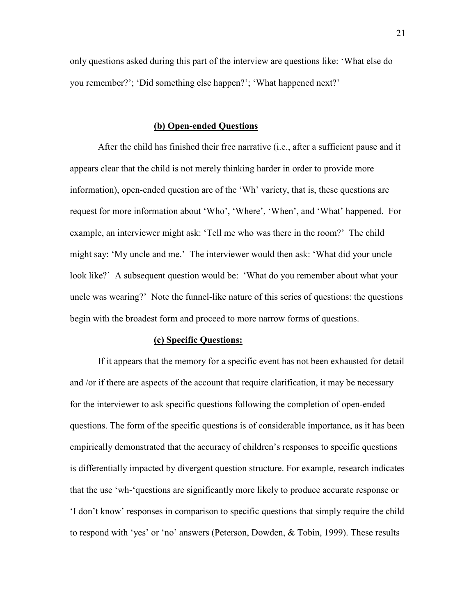only questions asked during this part of the interview are questions like: 'What else do you remember?'; 'Did something else happen?'; 'What happened next?'

## **(b) Open-ended Questions**

After the child has finished their free narrative (i.e., after a sufficient pause and it appears clear that the child is not merely thinking harder in order to provide more information), open-ended question are of the 'Wh' variety, that is, these questions are request for more information about 'Who', 'Where', 'When', and 'What' happened. For example, an interviewer might ask: 'Tell me who was there in the room?' The child might say: 'My uncle and me.' The interviewer would then ask: 'What did your uncle look like?' A subsequent question would be: 'What do you remember about what your uncle was wearing?' Note the funnel-like nature of this series of questions: the questions begin with the broadest form and proceed to more narrow forms of questions.

### **(c) Specific Questions:**

If it appears that the memory for a specific event has not been exhausted for detail and /or if there are aspects of the account that require clarification, it may be necessary for the interviewer to ask specific questions following the completion of open-ended questions. The form of the specific questions is of considerable importance, as it has been empirically demonstrated that the accuracy of children's responses to specific questions is differentially impacted by divergent question structure. For example, research indicates that the use 'wh-'questions are significantly more likely to produce accurate response or 'I don't know' responses in comparison to specific questions that simply require the child to respond with 'yes' or 'no' answers (Peterson, Dowden, & Tobin, 1999). These results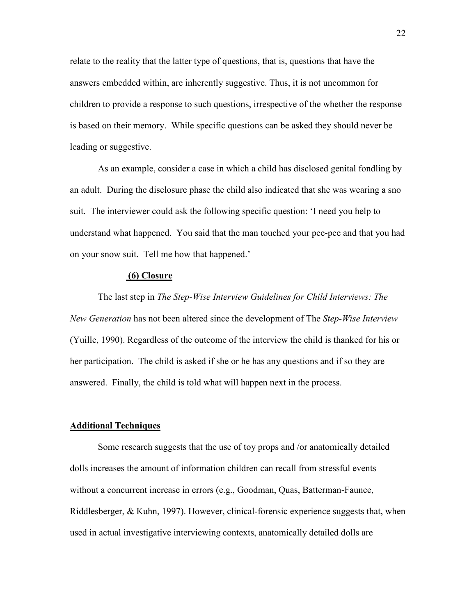relate to the reality that the latter type of questions, that is, questions that have the answers embedded within, are inherently suggestive. Thus, it is not uncommon for children to provide a response to such questions, irrespective of the whether the response is based on their memory. While specific questions can be asked they should never be leading or suggestive.

As an example, consider a case in which a child has disclosed genital fondling by an adult. During the disclosure phase the child also indicated that she was wearing a sno suit. The interviewer could ask the following specific question: 'I need you help to understand what happened. You said that the man touched your pee-pee and that you had on your snow suit. Tell me how that happened.'

### **(6) Closure**

The last step in *The Step-Wise Interview Guidelines for Child Interviews: The New Generation* has not been altered since the development of The *Step-Wise Interview* (Yuille, 1990). Regardless of the outcome of the interview the child is thanked for his or her participation. The child is asked if she or he has any questions and if so they are answered. Finally, the child is told what will happen next in the process.

### **Additional Techniques**

Some research suggests that the use of toy props and /or anatomically detailed dolls increases the amount of information children can recall from stressful events without a concurrent increase in errors (e.g., Goodman, Quas, Batterman-Faunce, Riddlesberger, & Kuhn, 1997). However, clinical-forensic experience suggests that, when used in actual investigative interviewing contexts, anatomically detailed dolls are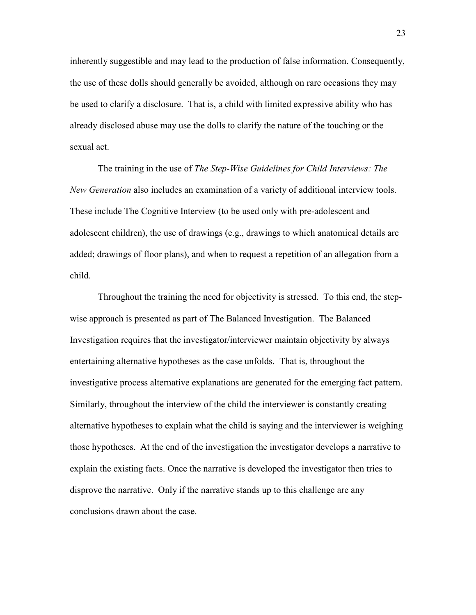inherently suggestible and may lead to the production of false information. Consequently, the use of these dolls should generally be avoided, although on rare occasions they may be used to clarify a disclosure. That is, a child with limited expressive ability who has already disclosed abuse may use the dolls to clarify the nature of the touching or the sexual act.

The training in the use of *The Step-Wise Guidelines for Child Interviews: The New Generation* also includes an examination of a variety of additional interview tools. These include The Cognitive Interview (to be used only with pre-adolescent and adolescent children), the use of drawings (e.g., drawings to which anatomical details are added; drawings of floor plans), and when to request a repetition of an allegation from a child.

Throughout the training the need for objectivity is stressed. To this end, the stepwise approach is presented as part of The Balanced Investigation. The Balanced Investigation requires that the investigator/interviewer maintain objectivity by always entertaining alternative hypotheses as the case unfolds. That is, throughout the investigative process alternative explanations are generated for the emerging fact pattern. Similarly, throughout the interview of the child the interviewer is constantly creating alternative hypotheses to explain what the child is saying and the interviewer is weighing those hypotheses. At the end of the investigation the investigator develops a narrative to explain the existing facts. Once the narrative is developed the investigator then tries to disprove the narrative. Only if the narrative stands up to this challenge are any conclusions drawn about the case.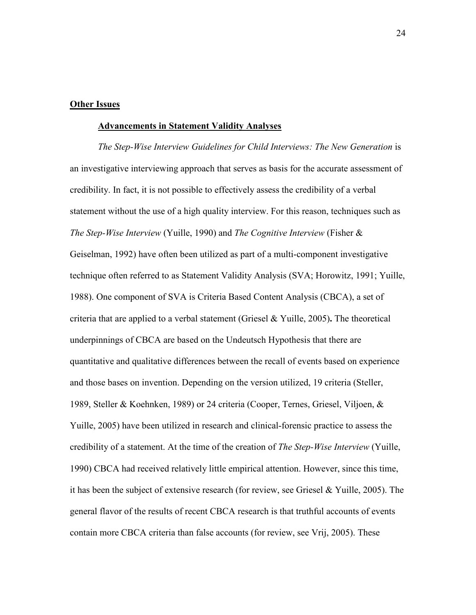## **Other Issues**

#### **Advancements in Statement Validity Analyses**

*The Step-Wise Interview Guidelines for Child Interviews: The New Generation* is an investigative interviewing approach that serves as basis for the accurate assessment of credibility. In fact, it is not possible to effectively assess the credibility of a verbal statement without the use of a high quality interview. For this reason, techniques such as *The Step-Wise Interview* (Yuille, 1990) and *The Cognitive Interview* (Fisher & Geiselman, 1992) have often been utilized as part of a multi-component investigative technique often referred to as Statement Validity Analysis (SVA; Horowitz, 1991; Yuille, 1988). One component of SVA is Criteria Based Content Analysis (CBCA), a set of criteria that are applied to a verbal statement (Griesel & Yuille, 2005)**.** The theoretical underpinnings of CBCA are based on the Undeutsch Hypothesis that there are quantitative and qualitative differences between the recall of events based on experience and those bases on invention. Depending on the version utilized, 19 criteria (Steller, 1989, Steller & Koehnken, 1989) or 24 criteria (Cooper, Ternes, Griesel, Viljoen, & Yuille, 2005) have been utilized in research and clinical-forensic practice to assess the credibility of a statement. At the time of the creation of *The Step-Wise Interview* (Yuille, 1990) CBCA had received relatively little empirical attention. However, since this time, it has been the subject of extensive research (for review, see Griesel & Yuille, 2005). The general flavor of the results of recent CBCA research is that truthful accounts of events contain more CBCA criteria than false accounts (for review, see Vrij, 2005). These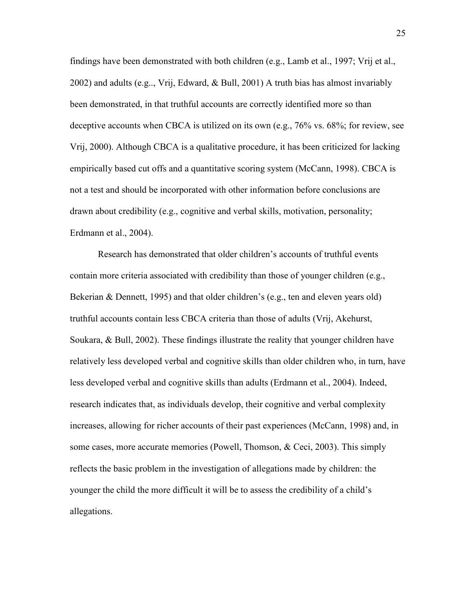findings have been demonstrated with both children (e.g., Lamb et al., 1997; Vrij et al., 2002) and adults (e.g.., Vrij, Edward, & Bull, 2001) A truth bias has almost invariably been demonstrated, in that truthful accounts are correctly identified more so than deceptive accounts when CBCA is utilized on its own (e.g., 76% vs. 68%; for review, see Vrij, 2000). Although CBCA is a qualitative procedure, it has been criticized for lacking empirically based cut offs and a quantitative scoring system (McCann, 1998). CBCA is not a test and should be incorporated with other information before conclusions are drawn about credibility (e.g., cognitive and verbal skills, motivation, personality; Erdmann et al., 2004).

Research has demonstrated that older children's accounts of truthful events contain more criteria associated with credibility than those of younger children (e.g., Bekerian & Dennett, 1995) and that older children's (e.g., ten and eleven years old) truthful accounts contain less CBCA criteria than those of adults (Vrij, Akehurst, Soukara, & Bull, 2002). These findings illustrate the reality that younger children have relatively less developed verbal and cognitive skills than older children who, in turn, have less developed verbal and cognitive skills than adults (Erdmann et al., 2004). Indeed, research indicates that, as individuals develop, their cognitive and verbal complexity increases, allowing for richer accounts of their past experiences (McCann, 1998) and, in some cases, more accurate memories (Powell, Thomson, & Ceci, 2003). This simply reflects the basic problem in the investigation of allegations made by children: the younger the child the more difficult it will be to assess the credibility of a child's allegations.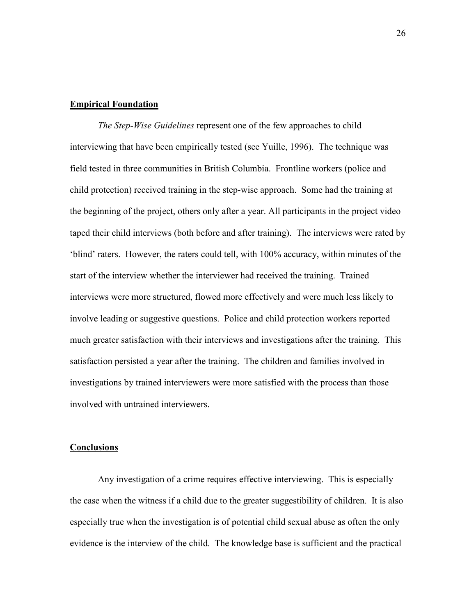### **Empirical Foundation**

*The Step-Wise Guidelines* represent one of the few approaches to child interviewing that have been empirically tested (see Yuille, 1996). The technique was field tested in three communities in British Columbia. Frontline workers (police and child protection) received training in the step-wise approach. Some had the training at the beginning of the project, others only after a year. All participants in the project video taped their child interviews (both before and after training). The interviews were rated by 'blind' raters. However, the raters could tell, with 100% accuracy, within minutes of the start of the interview whether the interviewer had received the training. Trained interviews were more structured, flowed more effectively and were much less likely to involve leading or suggestive questions. Police and child protection workers reported much greater satisfaction with their interviews and investigations after the training. This satisfaction persisted a year after the training. The children and families involved in investigations by trained interviewers were more satisfied with the process than those involved with untrained interviewers.

### **Conclusions**

Any investigation of a crime requires effective interviewing. This is especially the case when the witness if a child due to the greater suggestibility of children. It is also especially true when the investigation is of potential child sexual abuse as often the only evidence is the interview of the child. The knowledge base is sufficient and the practical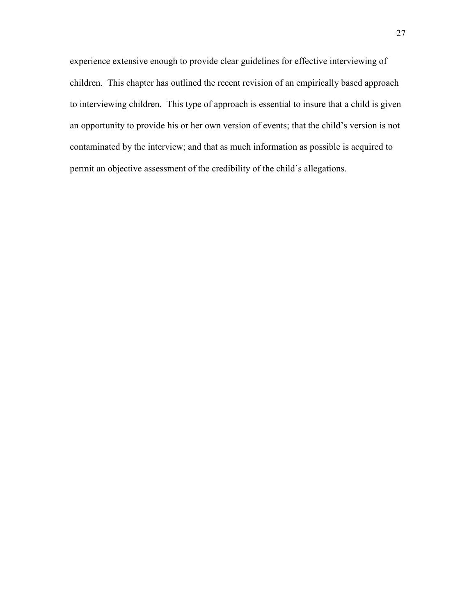experience extensive enough to provide clear guidelines for effective interviewing of children. This chapter has outlined the recent revision of an empirically based approach to interviewing children. This type of approach is essential to insure that a child is given an opportunity to provide his or her own version of events; that the child's version is not contaminated by the interview; and that as much information as possible is acquired to permit an objective assessment of the credibility of the child's allegations.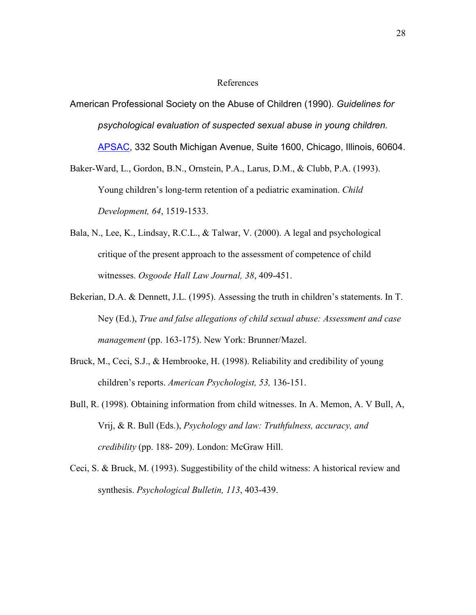### References

American Professional Society on the Abuse of Children (1990). *Guidelines for psychological evaluation of suspected sexual abuse in young children.* APSAC, 332 South Michigan Avenue, Suite 1600, Chicago, Illinois, 60604.

Baker-Ward, L., Gordon, B.N., Ornstein, P.A., Larus, D.M., & Clubb, P.A. (1993). Young children's long-term retention of a pediatric examination. *Child Development, 64*, 1519-1533.

- Bala, N., Lee, K., Lindsay, R.C.L., & Talwar, V. (2000). A legal and psychological critique of the present approach to the assessment of competence of child witnesses. *Osgoode Hall Law Journal, 38*, 409-451.
- Bekerian, D.A. & Dennett, J.L. (1995). Assessing the truth in children's statements. In T. Ney (Ed.), *True and false allegations of child sexual abuse: Assessment and case management* (pp. 163-175). New York: Brunner/Mazel.
- Bruck, M., Ceci, S.J., & Hembrooke, H. (1998). Reliability and credibility of young children's reports. *American Psychologist, 53,* 136-151.
- Bull, R. (1998). Obtaining information from child witnesses. In A. Memon, A. V Bull, A, Vrij, & R. Bull (Eds.), *Psychology and law: Truthfulness, accuracy, and credibility* (pp. 188- 209). London: McGraw Hill.
- Ceci, S. & Bruck, M. (1993). Suggestibility of the child witness: A historical review and synthesis. *Psychological Bulletin, 113*, 403-439.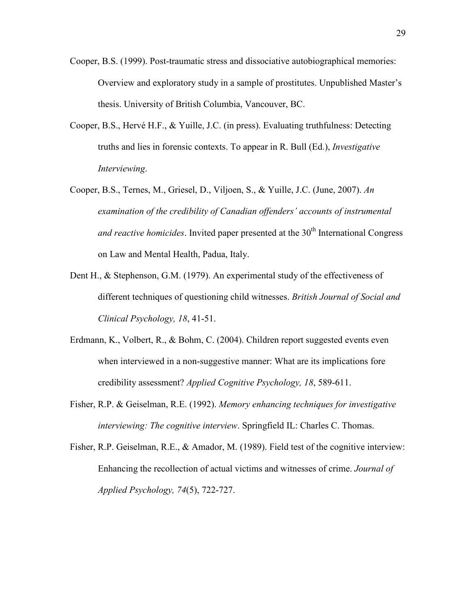- Cooper, B.S. (1999). Post-traumatic stress and dissociative autobiographical memories: Overview and exploratory study in a sample of prostitutes. Unpublished Master's thesis. University of British Columbia, Vancouver, BC.
- Cooper, B.S., Hervé H.F., & Yuille, J.C. (in press). Evaluating truthfulness: Detecting truths and lies in forensic contexts. To appear in R. Bull (Ed.), *Investigative Interviewing*.
- Cooper, B.S., Ternes, M., Griesel, D., Viljoen, S., & Yuille, J.C. (June, 2007). *An examination of the credibility of Canadian offenders' accounts of instrumental and reactive homicides*. Invited paper presented at the 30<sup>th</sup> International Congress on Law and Mental Health, Padua, Italy.
- Dent H., & Stephenson, G.M. (1979). An experimental study of the effectiveness of different techniques of questioning child witnesses. *British Journal of Social and Clinical Psychology, 18*, 41-51.
- Erdmann, K., Volbert, R., & Bohm, C. (2004). Children report suggested events even when interviewed in a non-suggestive manner: What are its implications fore credibility assessment? *Applied Cognitive Psychology, 18*, 589-611.
- Fisher, R.P. & Geiselman, R.E. (1992). *Memory enhancing techniques for investigative interviewing: The cognitive interview*. Springfield IL: Charles C. Thomas.
- Fisher, R.P. Geiselman, R.E., & Amador, M. (1989). Field test of the cognitive interview: Enhancing the recollection of actual victims and witnesses of crime. *Journal of Applied Psychology, 74*(5), 722-727.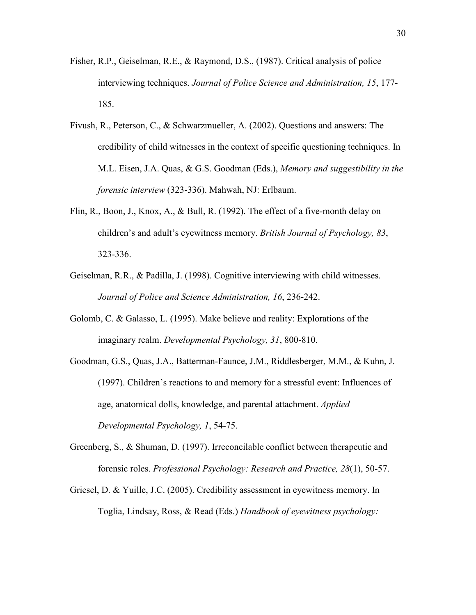- Fisher, R.P., Geiselman, R.E., & Raymond, D.S., (1987). Critical analysis of police interviewing techniques. *Journal of Police Science and Administration, 15*, 177- 185.
- Fivush, R., Peterson, C., & Schwarzmueller, A. (2002). Questions and answers: The credibility of child witnesses in the context of specific questioning techniques. In M.L. Eisen, J.A. Quas, & G.S. Goodman (Eds.), *Memory and suggestibility in the forensic interview* (323-336). Mahwah, NJ: Erlbaum.
- Flin, R., Boon, J., Knox, A., & Bull, R. (1992). The effect of a five-month delay on children's and adult's eyewitness memory. *British Journal of Psychology, 83*, 323-336.
- Geiselman, R.R., & Padilla, J. (1998). Cognitive interviewing with child witnesses. *Journal of Police and Science Administration, 16*, 236-242.
- Golomb, C. & Galasso, L. (1995). Make believe and reality: Explorations of the imaginary realm. *Developmental Psychology, 31*, 800-810.
- Goodman, G.S., Quas, J.A., Batterman-Faunce, J.M., Riddlesberger, M.M., & Kuhn, J. (1997). Children's reactions to and memory for a stressful event: Influences of age, anatomical dolls, knowledge, and parental attachment. *Applied Developmental Psychology, 1*, 54-75.
- Greenberg, S., & Shuman, D. (1997). Irreconcilable conflict between therapeutic and forensic roles. *Professional Psychology: Research and Practice, 28*(1), 50-57.
- Griesel, D. & Yuille, J.C. (2005). Credibility assessment in eyewitness memory. In Toglia, Lindsay, Ross, & Read (Eds.) *Handbook of eyewitness psychology:*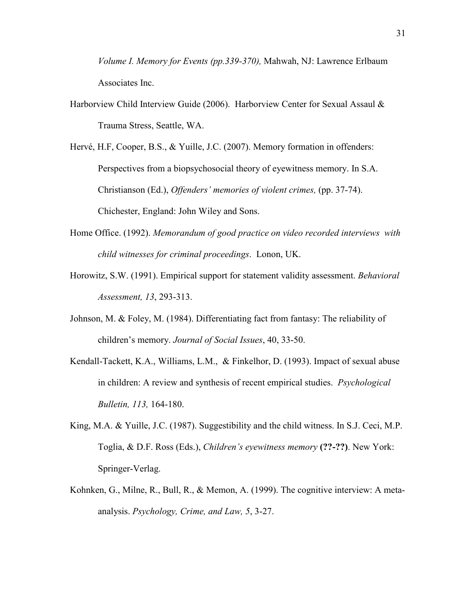*Volume I. Memory for Events (pp.339-370),* Mahwah, NJ: Lawrence Erlbaum Associates Inc.

Harborview Child Interview Guide (2006). Harborview Center for Sexual Assaul & Trauma Stress, Seattle, WA.

Hervé, H.F, Cooper, B.S., & Yuille, J.C. (2007). Memory formation in offenders: Perspectives from a biopsychosocial theory of eyewitness memory. In S.A. Christianson (Ed.), *Offenders' memories of violent crimes,* (pp. 37-74). Chichester, England: John Wiley and Sons.

- Home Office. (1992). *Memorandum of good practice on video recorded interviews with child witnesses for criminal proceedings*. Lonon, UK.
- Horowitz, S.W. (1991). Empirical support for statement validity assessment. *Behavioral Assessment, 13*, 293-313.
- Johnson, M. & Foley, M. (1984). Differentiating fact from fantasy: The reliability of children's memory. *Journal of Social Issues*, 40, 33-50.
- Kendall-Tackett, K.A., Williams, L.M., & Finkelhor, D. (1993). Impact of sexual abuse in children: A review and synthesis of recent empirical studies. *Psychological Bulletin, 113,* 164-180.
- King, M.A. & Yuille, J.C. (1987). Suggestibility and the child witness. In S.J. Ceci, M.P. Toglia, & D.F. Ross (Eds.), *Children's eyewitness memory* **(??-??)**. New York: Springer-Verlag.
- Kohnken, G., Milne, R., Bull, R., & Memon, A. (1999). The cognitive interview: A metaanalysis. *Psychology, Crime, and Law, 5*, 3-27.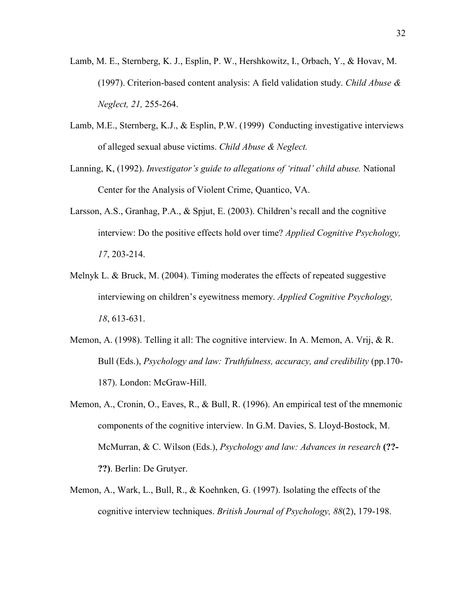- Lamb, M. E., Sternberg, K. J., Esplin, P. W., Hershkowitz, I., Orbach, Y., & Hovav, M. (1997). Criterion-based content analysis: A field validation study. *Child Abuse & Neglect, 21,* 255-264.
- Lamb, M.E., Sternberg, K.J., & Esplin, P.W. (1999) Conducting investigative interviews of alleged sexual abuse victims. *Child Abuse & Neglect.*
- Lanning, K, (1992). *Investigator's guide to allegations of 'ritual' child abuse.* National Center for the Analysis of Violent Crime, Quantico, VA.
- Larsson, A.S., Granhag, P.A., & Spjut, E. (2003). Children's recall and the cognitive interview: Do the positive effects hold over time? *Applied Cognitive Psychology, 17*, 203-214.
- Melnyk L. & Bruck, M. (2004). Timing moderates the effects of repeated suggestive interviewing on children's eyewitness memory. *Applied Cognitive Psychology, 18*, 613-631.
- Memon, A. (1998). Telling it all: The cognitive interview. In A. Memon, A. Vrij, & R. Bull (Eds.), *Psychology and law: Truthfulness, accuracy, and credibility* (pp.170- 187). London: McGraw-Hill.
- Memon, A., Cronin, O., Eaves, R., & Bull, R. (1996). An empirical test of the mnemonic components of the cognitive interview. In G.M. Davies, S. Lloyd-Bostock, M. McMurran, & C. Wilson (Eds.), *Psychology and law: Advances in research* **(??- ??)**. Berlin: De Grutyer.
- Memon, A., Wark, L., Bull, R., & Koehnken, G. (1997). Isolating the effects of the cognitive interview techniques. *British Journal of Psychology, 88*(2), 179-198.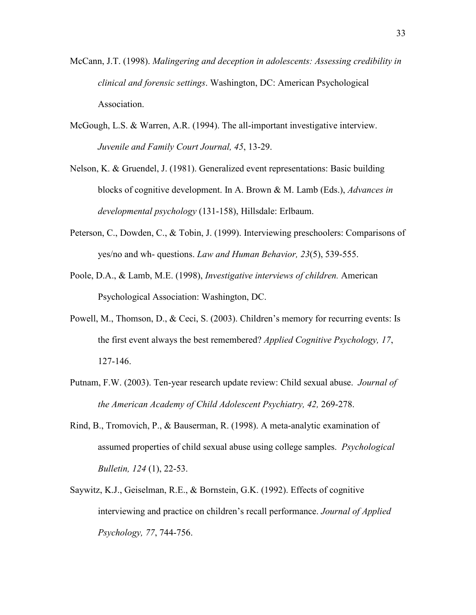- McCann, J.T. (1998). *Malingering and deception in adolescents: Assessing credibility in clinical and forensic settings*. Washington, DC: American Psychological Association.
- McGough, L.S. & Warren, A.R. (1994). The all-important investigative interview. *Juvenile and Family Court Journal, 45*, 13-29.
- Nelson, K. & Gruendel, J. (1981). Generalized event representations: Basic building blocks of cognitive development. In A. Brown & M. Lamb (Eds.), *Advances in developmental psychology* (131-158), Hillsdale: Erlbaum.
- Peterson, C., Dowden, C., & Tobin, J. (1999). Interviewing preschoolers: Comparisons of yes/no and wh- questions. *Law and Human Behavior, 23*(5), 539-555.
- Poole, D.A., & Lamb, M.E. (1998), *Investigative interviews of children.* American Psychological Association: Washington, DC.
- Powell, M., Thomson, D., & Ceci, S. (2003). Children's memory for recurring events: Is the first event always the best remembered? *Applied Cognitive Psychology, 17*, 127-146.
- Putnam, F.W. (2003). Ten-year research update review: Child sexual abuse. *Journal of the American Academy of Child Adolescent Psychiatry, 42,* 269-278.
- Rind, B., Tromovich, P., & Bauserman, R. (1998). A meta-analytic examination of assumed properties of child sexual abuse using college samples. *Psychological Bulletin, 124* (1), 22-53.
- Saywitz, K.J., Geiselman, R.E., & Bornstein, G.K. (1992). Effects of cognitive interviewing and practice on children's recall performance. *Journal of Applied Psychology, 77*, 744-756.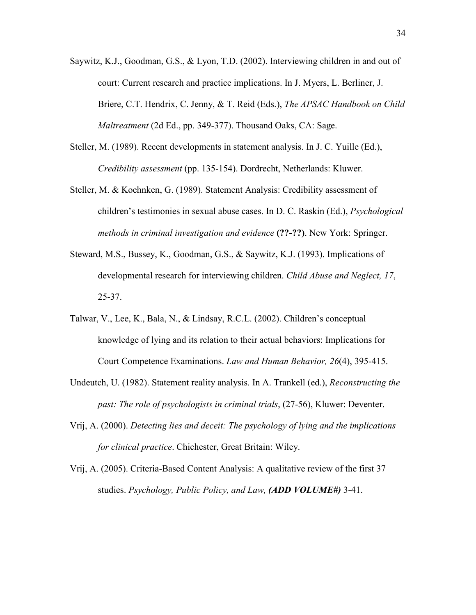- Saywitz, K.J., Goodman, G.S., & Lyon, T.D. (2002). Interviewing children in and out of court: Current research and practice implications. In J. Myers, L. Berliner, J. Briere, C.T. Hendrix, C. Jenny, & T. Reid (Eds.), *The APSAC Handbook on Child Maltreatment* (2d Ed., pp. 349-377). Thousand Oaks, CA: Sage.
- Steller, M. (1989). Recent developments in statement analysis. In J. C. Yuille (Ed.), *Credibility assessment* (pp. 135-154). Dordrecht, Netherlands: Kluwer.
- Steller, M. & Koehnken, G. (1989). Statement Analysis: Credibility assessment of children's testimonies in sexual abuse cases. In D. C. Raskin (Ed.), *Psychological methods in criminal investigation and evidence* **(??-??)**. New York: Springer.
- Steward, M.S., Bussey, K., Goodman, G.S., & Saywitz, K.J. (1993). Implications of developmental research for interviewing children. *Child Abuse and Neglect, 17*, 25-37.
- Talwar, V., Lee, K., Bala, N., & Lindsay, R.C.L. (2002). Children's conceptual knowledge of lying and its relation to their actual behaviors: Implications for Court Competence Examinations. *Law and Human Behavior, 26*(4), 395-415.
- Undeutch, U. (1982). Statement reality analysis. In A. Trankell (ed.), *Reconstructing the past: The role of psychologists in criminal trials*, (27-56), Kluwer: Deventer.
- Vrij, A. (2000). *Detecting lies and deceit: The psychology of lying and the implications for clinical practice*. Chichester, Great Britain: Wiley.
- Vrij, A. (2005). Criteria-Based Content Analysis: A qualitative review of the first 37 studies. *Psychology, Public Policy, and Law, (ADD VOLUME#)* 3-41.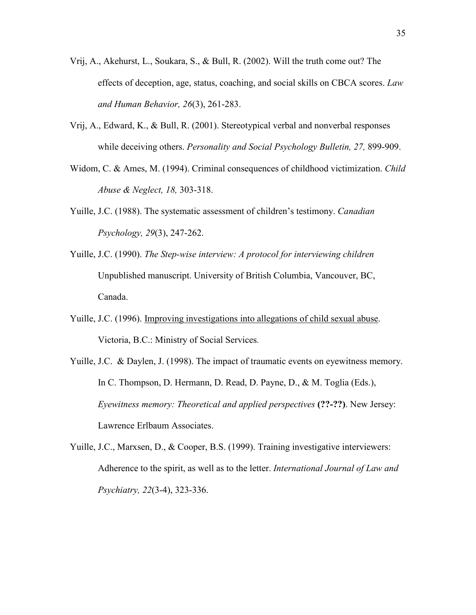- Vrij, A., Akehurst, L., Soukara, S., & Bull, R. (2002). Will the truth come out? The effects of deception, age, status, coaching, and social skills on CBCA scores. *Law and Human Behavior, 26*(3), 261-283.
- Vrij, A., Edward, K., & Bull, R. (2001). Stereotypical verbal and nonverbal responses while deceiving others. *Personality and Social Psychology Bulletin, 27,* 899-909.
- Widom, C. & Ames, M. (1994). Criminal consequences of childhood victimization. *Child Abuse & Neglect, 18,* 303-318.
- Yuille, J.C. (1988). The systematic assessment of children's testimony. *Canadian Psychology, 29*(3), 247-262.
- Yuille, J.C. (1990). *The Step-wise interview: A protocol for interviewing children* Unpublished manuscript. University of British Columbia, Vancouver, BC, Canada.
- Yuille, J.C. (1996). Improving investigations into allegations of child sexual abuse. Victoria, B.C.: Ministry of Social Services.
- Yuille, J.C. & Daylen, J. (1998). The impact of traumatic events on eyewitness memory. In C. Thompson, D. Hermann, D. Read, D. Payne, D., & M. Toglia (Eds.), *Eyewitness memory: Theoretical and applied perspectives* **(??-??)**. New Jersey: Lawrence Erlbaum Associates.
- Yuille, J.C., Marxsen, D., & Cooper, B.S. (1999). Training investigative interviewers: Adherence to the spirit, as well as to the letter. *International Journal of Law and Psychiatry, 22*(3-4), 323-336.